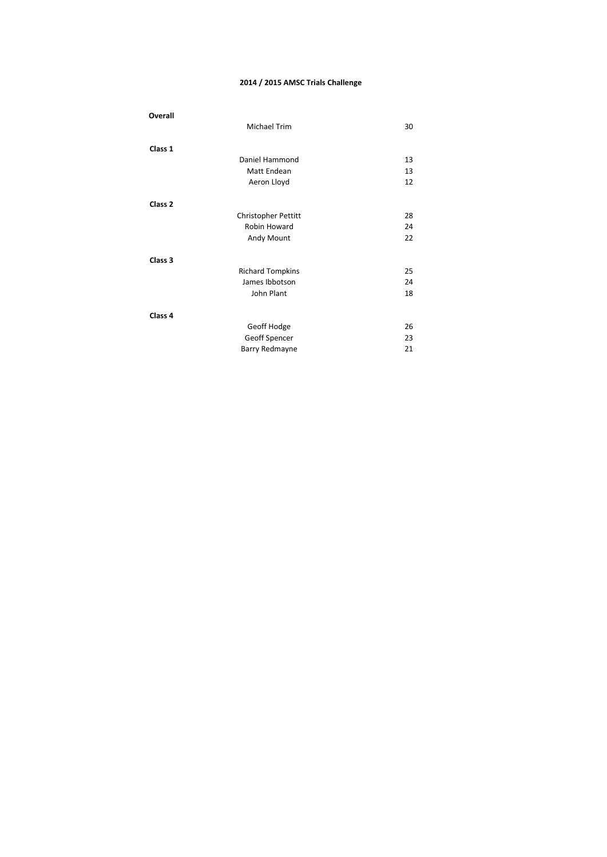#### **2014 / 2015 AMSC Trials Challenge**

| Overall            |                         |    |
|--------------------|-------------------------|----|
|                    | <b>Michael Trim</b>     | 30 |
| Class 1            |                         |    |
|                    | Daniel Hammond          | 13 |
|                    | Matt Endean             | 13 |
|                    | Aeron Lloyd             | 12 |
| Class <sub>2</sub> |                         |    |
|                    | Christopher Pettitt     | 28 |
|                    | Robin Howard            | 24 |
|                    | Andy Mount              | 22 |
| Class 3            |                         |    |
|                    | <b>Richard Tompkins</b> | 25 |
|                    | James Ibbotson          | 24 |
|                    | John Plant              | 18 |
| Class 4            |                         |    |
|                    | Geoff Hodge             | 26 |
|                    | Geoff Spencer           | 23 |
|                    | Barry Redmayne          | 21 |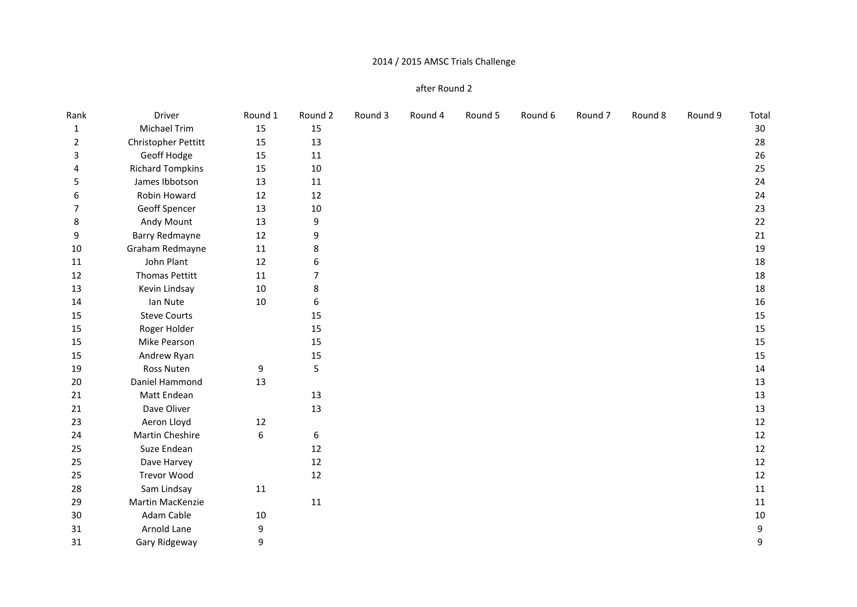# 2014 / 2015 AMSC Trials Challenge

#### after Round 2

| Rank           | Driver                  | Round 1 | Round 2        | Round 3 | Round 4 | Round 5 | Round 6 | Round <sub>7</sub> | Round 8 | Round 9 | Total            |
|----------------|-------------------------|---------|----------------|---------|---------|---------|---------|--------------------|---------|---------|------------------|
| 1              | Michael Trim            | 15      | 15             |         |         |         |         |                    |         |         | $30\,$           |
| 2              | Christopher Pettitt     | 15      | 13             |         |         |         |         |                    |         |         | 28               |
| 3              | Geoff Hodge             | 15      | 11             |         |         |         |         |                    |         |         | 26               |
| 4              | <b>Richard Tompkins</b> | 15      | 10             |         |         |         |         |                    |         |         | 25               |
| 5              | James Ibbotson          | 13      | 11             |         |         |         |         |                    |         |         | 24               |
| 6              | Robin Howard            | 12      | 12             |         |         |         |         |                    |         |         | 24               |
| $\overline{7}$ | Geoff Spencer           | 13      | $10\,$         |         |         |         |         |                    |         |         | 23               |
| 8              | Andy Mount              | 13      | 9              |         |         |         |         |                    |         |         | 22               |
| 9              | <b>Barry Redmayne</b>   | 12      | 9              |         |         |         |         |                    |         |         | 21               |
| 10             | Graham Redmayne         | 11      | 8              |         |         |         |         |                    |         |         | 19               |
| 11             | John Plant              | 12      | 6              |         |         |         |         |                    |         |         | 18               |
| 12             | <b>Thomas Pettitt</b>   | 11      | $\overline{7}$ |         |         |         |         |                    |         |         | 18               |
| 13             | Kevin Lindsay           | 10      | 8              |         |         |         |         |                    |         |         | 18               |
| 14             | Ian Nute                | 10      | 6              |         |         |         |         |                    |         |         | 16               |
| 15             | <b>Steve Courts</b>     |         | 15             |         |         |         |         |                    |         |         | 15               |
| 15             | Roger Holder            |         | 15             |         |         |         |         |                    |         |         | 15               |
| 15             | Mike Pearson            |         | 15             |         |         |         |         |                    |         |         | 15               |
| 15             | Andrew Ryan             |         | 15             |         |         |         |         |                    |         |         | 15               |
| 19             | Ross Nuten              | 9       | 5              |         |         |         |         |                    |         |         | 14               |
| 20             | Daniel Hammond          | 13      |                |         |         |         |         |                    |         |         | 13               |
| 21             | Matt Endean             |         | 13             |         |         |         |         |                    |         |         | 13               |
| 21             | Dave Oliver             |         | 13             |         |         |         |         |                    |         |         | 13               |
| 23             | Aeron Lloyd             | 12      |                |         |         |         |         |                    |         |         | 12               |
| 24             | Martin Cheshire         | 6       | 6              |         |         |         |         |                    |         |         | 12               |
| 25             | Suze Endean             |         | $12\,$         |         |         |         |         |                    |         |         | 12               |
| 25             | Dave Harvey             |         | 12             |         |         |         |         |                    |         |         | 12               |
| 25             | <b>Trevor Wood</b>      |         | 12             |         |         |         |         |                    |         |         | 12               |
| 28             | Sam Lindsay             | 11      |                |         |         |         |         |                    |         |         | 11               |
| 29             | Martin MacKenzie        |         | 11             |         |         |         |         |                    |         |         | 11               |
| 30             | Adam Cable              | 10      |                |         |         |         |         |                    |         |         | $10\,$           |
| 31             | Arnold Lane             | 9       |                |         |         |         |         |                    |         |         | $\boldsymbol{9}$ |
| 31             | Gary Ridgeway           | 9       |                |         |         |         |         |                    |         |         | 9                |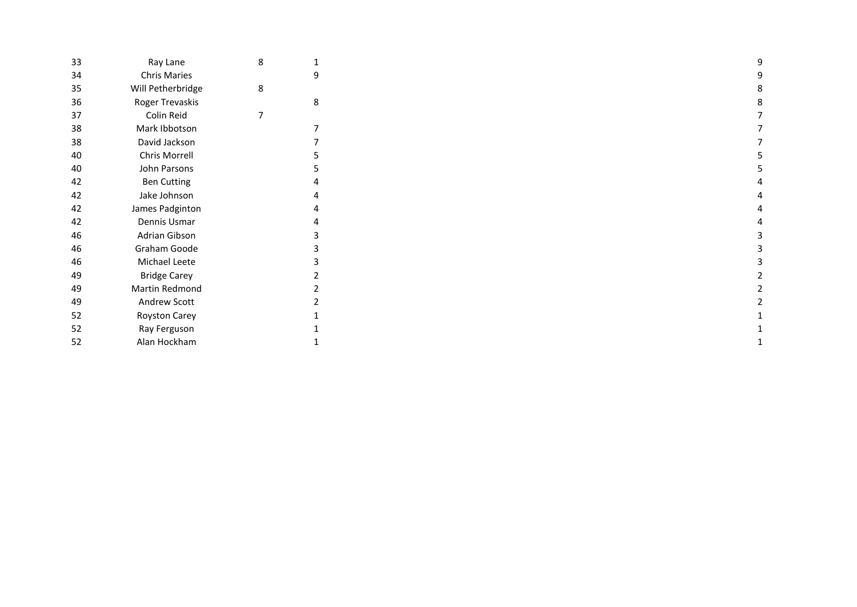| 33 | Ray Lane             | 8 | $\mathbf 1$    |  |
|----|----------------------|---|----------------|--|
| 34 | <b>Chris Maries</b>  |   | 9              |  |
| 35 | Will Petherbridge    | 8 |                |  |
| 36 | Roger Trevaskis      |   | 8              |  |
| 37 | Colin Reid           | 7 |                |  |
| 38 | Mark Ibbotson        |   | 7              |  |
| 38 | David Jackson        |   | 7              |  |
| 40 | Chris Morrell        |   | 5              |  |
| 40 | John Parsons         |   | 5              |  |
| 42 | <b>Ben Cutting</b>   |   | 4              |  |
| 42 | Jake Johnson         |   | 4              |  |
| 42 | James Padginton      |   | 4              |  |
| 42 | Dennis Usmar         |   | 4              |  |
| 46 | Adrian Gibson        |   | 3              |  |
| 46 | Graham Goode         |   | 3              |  |
| 46 | Michael Leete        |   | 3              |  |
| 49 | <b>Bridge Carey</b>  |   | 2              |  |
| 49 | Martin Redmond       |   | $\overline{2}$ |  |
| 49 | Andrew Scott         |   | $\overline{2}$ |  |
| 52 | <b>Royston Carey</b> |   | 1              |  |
| 52 | Ray Ferguson         |   | 1              |  |
| 52 | Alan Hockham         |   | 1              |  |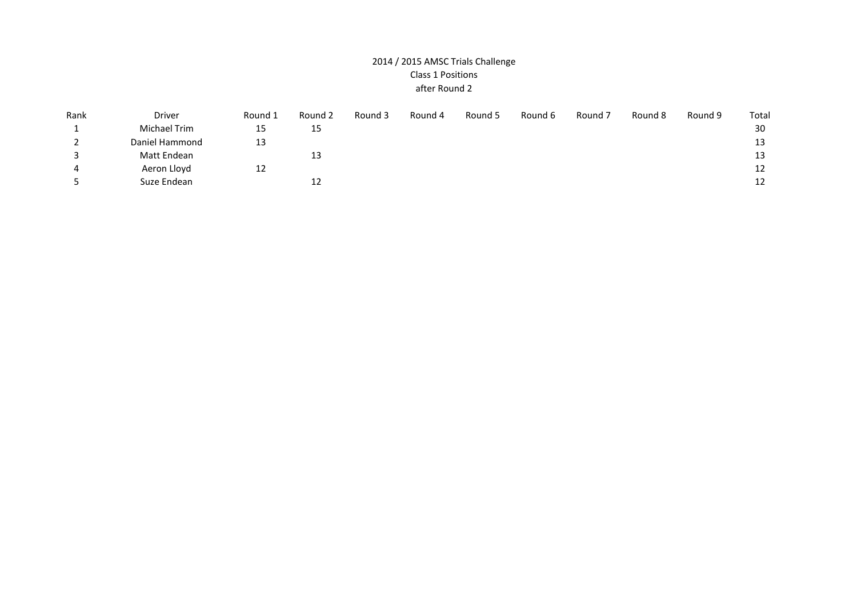## 2014 / 2015 AMSC Trials Challenge Class 1 Positions after Round 2

| Rank     | <b>Driver</b>  | Round 1 | Round 2 | Round 3 | Round 4 | Round 5 | Round 6 | Round 7 | Round 8 | Round 9 | Total |
|----------|----------------|---------|---------|---------|---------|---------|---------|---------|---------|---------|-------|
|          | Michael Trim   | 15      | 15      |         |         |         |         |         |         |         | 30    |
| <u>.</u> | Daniel Hammond | 13      |         |         |         |         |         |         |         |         | 13    |
|          | Matt Endean    |         | 13      |         |         |         |         |         |         |         | 13    |
| 4        | Aeron Lloyd    | 12      |         |         |         |         |         |         |         |         | 12    |
|          | Suze Endean    |         | 12      |         |         |         |         |         |         |         | 12    |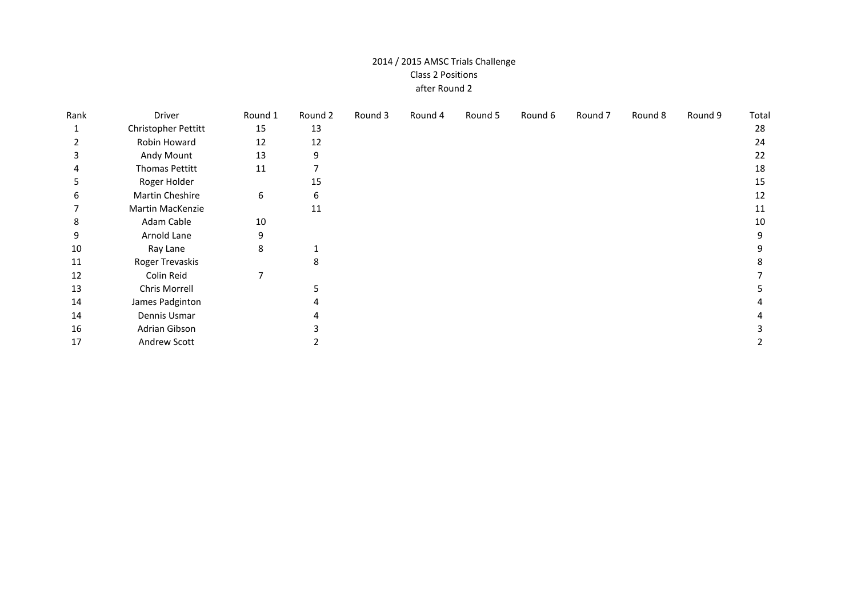## 2014 / 2015 AMSC Trials Challenge Class 2 Positions after Round 2

| Rank | Driver                | Round 1 | Round 2 | Round 3 | Round 4 | Round 5 | Round 6 | Round 7 | Round 8 | Round 9 | Total |
|------|-----------------------|---------|---------|---------|---------|---------|---------|---------|---------|---------|-------|
|      | Christopher Pettitt   | 15      | 13      |         |         |         |         |         |         |         | 28    |
|      | Robin Howard          | 12      | 12      |         |         |         |         |         |         |         | 24    |
| 3    | Andy Mount            | 13      | 9       |         |         |         |         |         |         |         | 22    |
| 4    | <b>Thomas Pettitt</b> | 11      |         |         |         |         |         |         |         |         | 18    |
| 5    | Roger Holder          |         | 15      |         |         |         |         |         |         |         | 15    |
| 6    | Martin Cheshire       | 6       | 6       |         |         |         |         |         |         |         | 12    |
|      | Martin MacKenzie      |         | 11      |         |         |         |         |         |         |         | 11    |
| 8    | Adam Cable            | 10      |         |         |         |         |         |         |         |         | 10    |
| 9    | Arnold Lane           | 9       |         |         |         |         |         |         |         |         | 9     |
| 10   | Ray Lane              | 8       |         |         |         |         |         |         |         |         |       |
| 11   | Roger Trevaskis       |         |         |         |         |         |         |         |         |         |       |
| 12   | Colin Reid            | 7       |         |         |         |         |         |         |         |         |       |
| 13   | Chris Morrell         |         |         |         |         |         |         |         |         |         |       |
| 14   | James Padginton       |         |         |         |         |         |         |         |         |         |       |
| 14   | Dennis Usmar          |         |         |         |         |         |         |         |         |         |       |
| 16   | Adrian Gibson         |         |         |         |         |         |         |         |         |         |       |
| 17   | Andrew Scott          |         |         |         |         |         |         |         |         |         |       |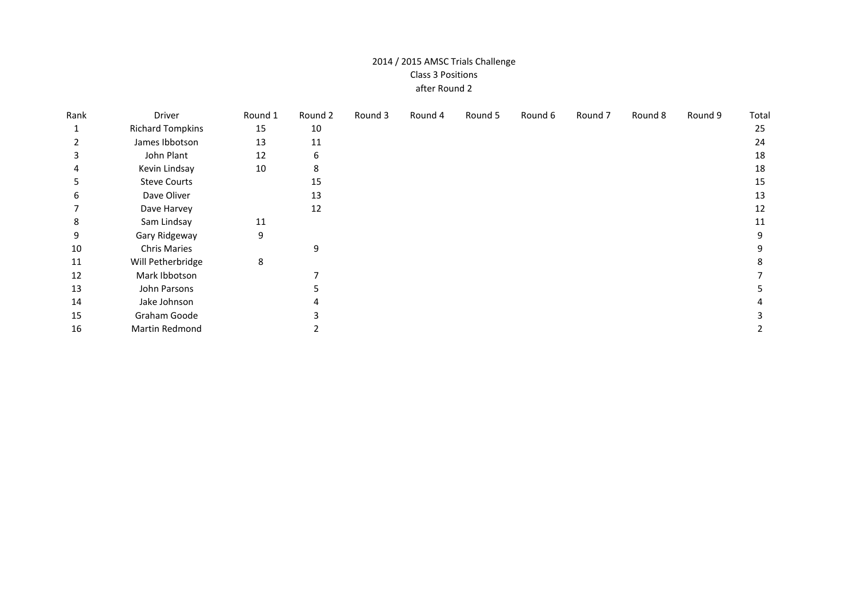## 2014 / 2015 AMSC Trials Challenge Class 3 Positions after Round 2

| Rank | Driver                  | Round 1 | Round 2 | Round 3 | Round 4 | Round 5 | Round 6 | Round 7 | Round 8 | Round 9 | Total |
|------|-------------------------|---------|---------|---------|---------|---------|---------|---------|---------|---------|-------|
|      | <b>Richard Tompkins</b> | 15      | 10      |         |         |         |         |         |         |         | 25    |
|      | James Ibbotson          | 13      | 11      |         |         |         |         |         |         |         | 24    |
| 3    | John Plant              | 12      | 6       |         |         |         |         |         |         |         | 18    |
|      | Kevin Lindsay           | 10      | 8       |         |         |         |         |         |         |         | 18    |
| 5    | <b>Steve Courts</b>     |         | 15      |         |         |         |         |         |         |         | 15    |
| 6    | Dave Oliver             |         | 13      |         |         |         |         |         |         |         | 13    |
|      | Dave Harvey             |         | 12      |         |         |         |         |         |         |         | 12    |
| 8    | Sam Lindsay             | 11      |         |         |         |         |         |         |         |         | 11    |
| 9    | Gary Ridgeway           | 9       |         |         |         |         |         |         |         |         | 9     |
| 10   | <b>Chris Maries</b>     |         | 9       |         |         |         |         |         |         |         |       |
| 11   | Will Petherbridge       | 8       |         |         |         |         |         |         |         |         |       |
| 12   | Mark Ibbotson           |         |         |         |         |         |         |         |         |         |       |
| 13   | John Parsons            |         |         |         |         |         |         |         |         |         |       |
| 14   | Jake Johnson            |         |         |         |         |         |         |         |         |         |       |
| 15   | Graham Goode            |         |         |         |         |         |         |         |         |         |       |
| 16   | Martin Redmond          |         |         |         |         |         |         |         |         |         |       |